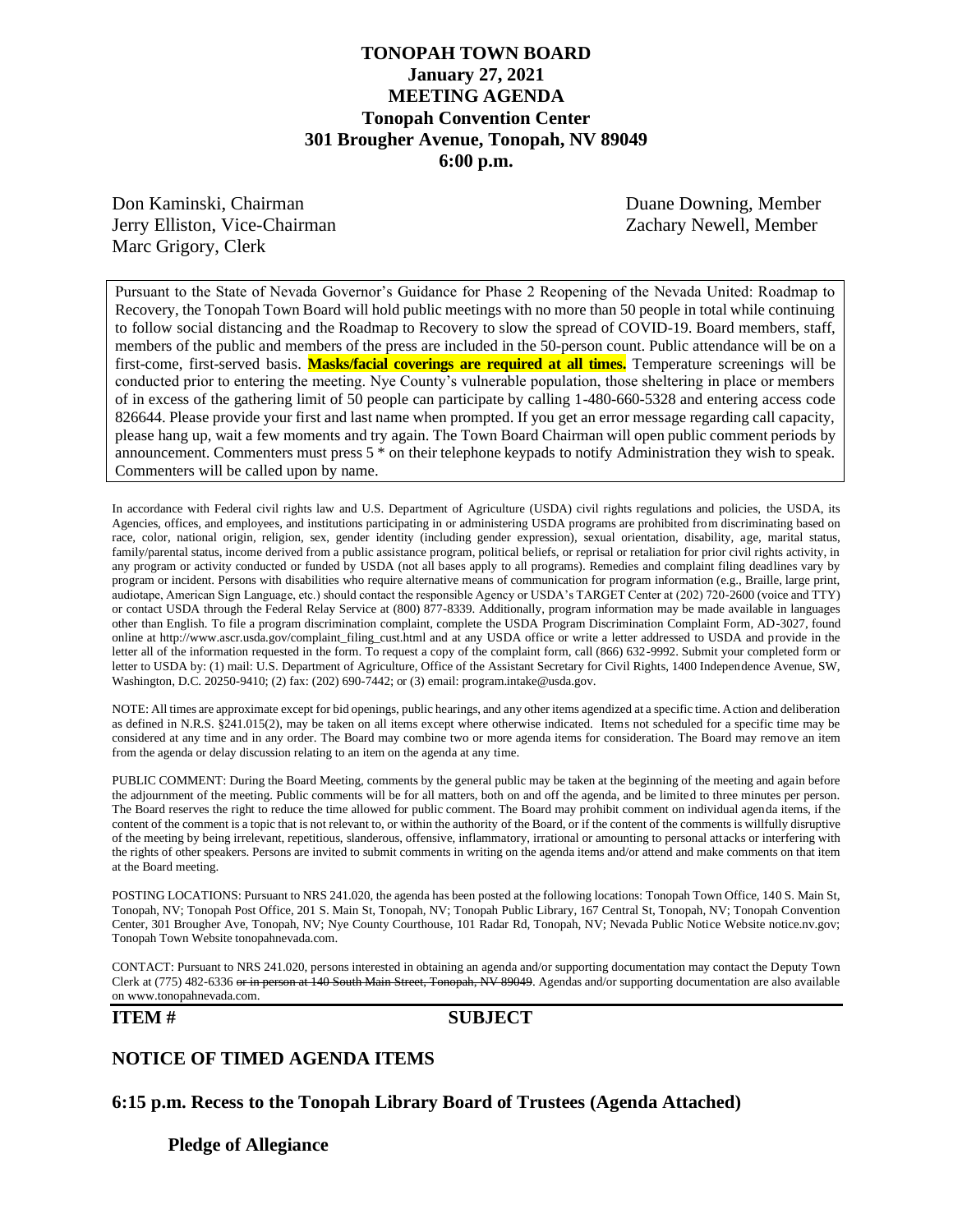## **TONOPAH TOWN BOARD January 27, 2021 MEETING AGENDA Tonopah Convention Center 301 Brougher Avenue, Tonopah, NV 89049 6:00 p.m.**

Don Kaminski, Chairman Duane Downing, Member Jerry Elliston, Vice-Chairman Zachary Newell, Member Marc Grigory, Clerk

Pursuant to the State of Nevada Governor's Guidance for Phase 2 Reopening of the Nevada United: Roadmap to Recovery, the Tonopah Town Board will hold public meetings with no more than 50 people in total while continuing to follow social distancing and the Roadmap to Recovery to slow the spread of COVID-19. Board members, staff, members of the public and members of the press are included in the 50-person count. Public attendance will be on a first-come, first-served basis. **Masks/facial coverings are required at all times.** Temperature screenings will be conducted prior to entering the meeting. Nye County's vulnerable population, those sheltering in place or members of in excess of the gathering limit of 50 people can participate by calling 1-480-660-5328 and entering access code 826644. Please provide your first and last name when prompted. If you get an error message regarding call capacity, please hang up, wait a few moments and try again. The Town Board Chairman will open public comment periods by announcement. Commenters must press 5 \* on their telephone keypads to notify Administration they wish to speak. Commenters will be called upon by name.

In accordance with Federal civil rights law and U.S. Department of Agriculture (USDA) civil rights regulations and policies, the USDA, its Agencies, offices, and employees, and institutions participating in or administering USDA programs are prohibited from discriminating based on race, color, national origin, religion, sex, gender identity (including gender expression), sexual orientation, disability, age, marital status, family/parental status, income derived from a public assistance program, political beliefs, or reprisal or retaliation for prior civil rights activity, in any program or activity conducted or funded by USDA (not all bases apply to all programs). Remedies and complaint filing deadlines vary by program or incident. Persons with disabilities who require alternative means of communication for program information (e.g., Braille, large print, audiotape, American Sign Language, etc.) should contact the responsible Agency or USDA's TARGET Center at (202) 720-2600 (voice and TTY) or contact USDA through the Federal Relay Service at (800) 877-8339. Additionally, program information may be made available in languages other than English. To file a program discrimination complaint, complete the USDA Program Discrimination Complaint Form, AD-3027, found online at http://www.ascr.usda.gov/complaint\_filing\_cust.html and at any USDA office or write a letter addressed to USDA and provide in the letter all of the information requested in the form. To request a copy of the complaint form, call (866) 632-9992. Submit your completed form or letter to USDA by: (1) mail: U.S. Department of Agriculture, Office of the Assistant Secretary for Civil Rights, 1400 Independence Avenue, SW, Washington, D.C. 20250-9410; (2) fax: (202) 690-7442; or (3) email: program.intake@usda.gov.

NOTE: All times are approximate except for bid openings, public hearings, and any other items agendized at a specific time. Action and deliberation as defined in N.R.S. §241.015(2), may be taken on all items except where otherwise indicated. Items not scheduled for a specific time may be considered at any time and in any order. The Board may combine two or more agenda items for consideration. The Board may remove an item from the agenda or delay discussion relating to an item on the agenda at any time.

PUBLIC COMMENT: During the Board Meeting, comments by the general public may be taken at the beginning of the meeting and again before the adjournment of the meeting. Public comments will be for all matters, both on and off the agenda, and be limited to three minutes per person. The Board reserves the right to reduce the time allowed for public comment. The Board may prohibit comment on individual agenda items, if the content of the comment is a topic that is not relevant to, or within the authority of the Board, or if the content of the comments is willfully disruptive of the meeting by being irrelevant, repetitious, slanderous, offensive, inflammatory, irrational or amounting to personal attacks or interfering with the rights of other speakers. Persons are invited to submit comments in writing on the agenda items and/or attend and make comments on that item at the Board meeting.

POSTING LOCATIONS: Pursuant to NRS 241.020, the agenda has been posted at the following locations: Tonopah Town Office, 140 S. Main St, Tonopah, NV; Tonopah Post Office, 201 S. Main St, Tonopah, NV; Tonopah Public Library, 167 Central St, Tonopah, NV; Tonopah Convention Center, 301 Brougher Ave, Tonopah, NV; Nye County Courthouse, 101 Radar Rd, Tonopah, NV; Nevada Public Notice Website notice.nv.gov; Tonopah Town Website tonopahnevada.com.

CONTACT: Pursuant to NRS 241.020, persons interested in obtaining an agenda and/or supporting documentation may contact the Deputy Town Clerk at (775) 482-6336 or in person at 140 South Main Street, Tonopah, NV 89049. Agendas and/or supporting documentation are also available on www.tonopahnevada.com.

#### **ITEM # SUBJECT**

#### **NOTICE OF TIMED AGENDA ITEMS**

**6:15 p.m. Recess to the Tonopah Library Board of Trustees (Agenda Attached)**

**Pledge of Allegiance**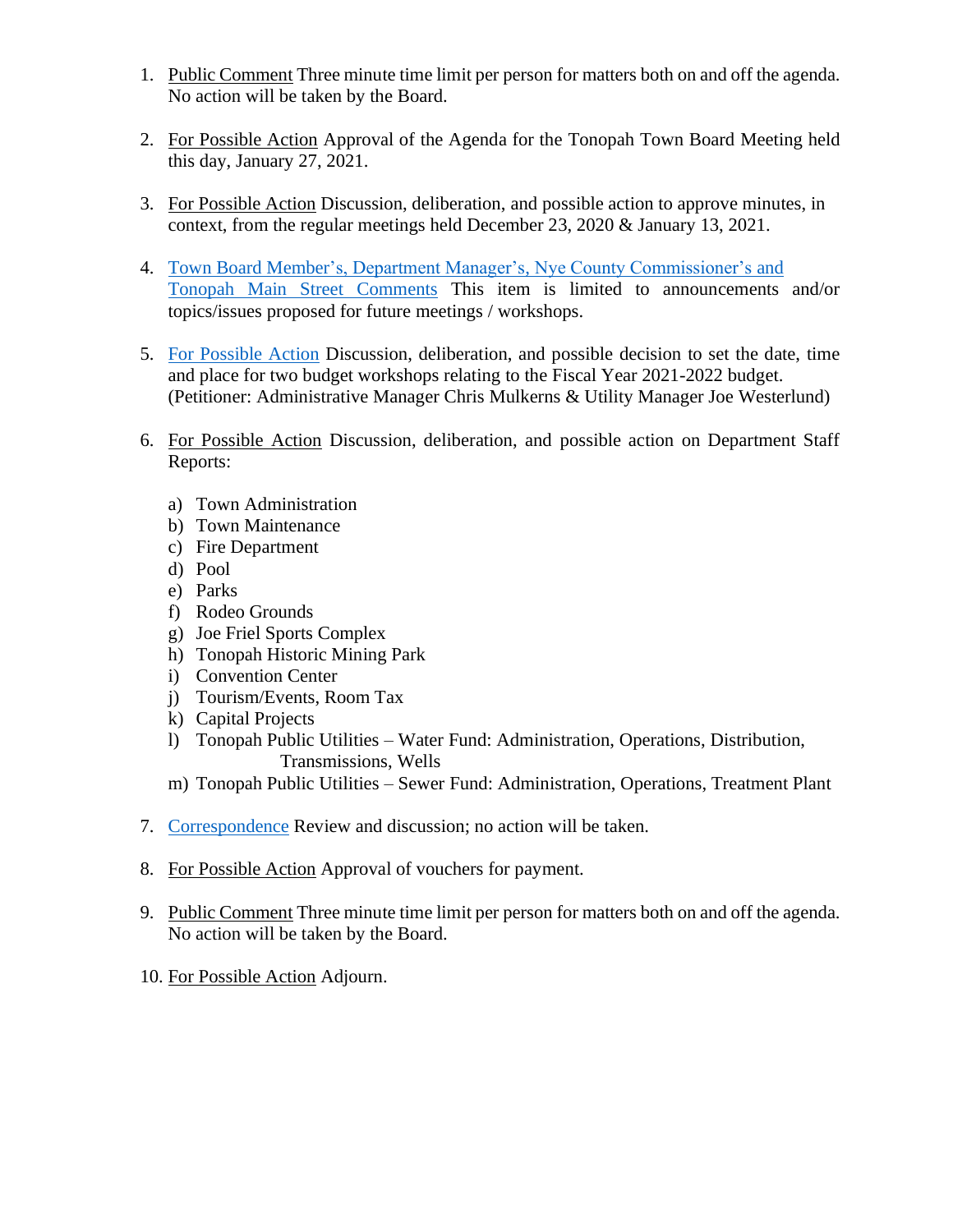- 1. Public Comment Three minute time limit per person for matters both on and off the agenda. No action will be taken by the Board.
- 2. For Possible Action Approval of the Agenda for the Tonopah Town Board Meeting held this day, January 27, 2021.
- 3. For Possible Action Discussion, deliberation, and possible action to approve minutes, in context, from the regular meetings held December 23, 2020 & January 13, 2021.
- 4. [Town Board Member's, Department Manager's, Nye County Commissioner's](https://www.tonopahnevada.com/agendas/backup-2021/1-27-2021-item-4.pdf) and [Tonopah Main Street](https://www.tonopahnevada.com/agendas/backup-2021/1-27-2021-item-4.pdf) Comments This item is limited to announcements and/or topics/issues proposed for future meetings / workshops.
- 5. [For Possible Action](https://www.tonopahnevada.com/agendas/backup-2021/1-27-2021-item-5.pdf) Discussion, deliberation, and possible decision to set the date, time and place for two budget workshops relating to the Fiscal Year 2021-2022 budget. (Petitioner: Administrative Manager Chris Mulkerns & Utility Manager Joe Westerlund)
- 6. For Possible Action Discussion, deliberation, and possible action on Department Staff Reports:
	- a) Town Administration
	- b) Town Maintenance
	- c) Fire Department
	- d) Pool
	- e) Parks
	- f) Rodeo Grounds
	- g) Joe Friel Sports Complex
	- h) Tonopah Historic Mining Park
	- i) Convention Center
	- j) Tourism/Events, Room Tax
	- k) Capital Projects
	- l) Tonopah Public Utilities Water Fund: Administration, Operations, Distribution, Transmissions, Wells
	- m) Tonopah Public Utilities Sewer Fund: Administration, Operations, Treatment Plant
- 7. [Correspondence](https://www.tonopahnevada.com/agendas/backup-2021/1-27-2021-USDI.pdf) Review and discussion; no action will be taken.
- 8. For Possible Action Approval of vouchers for payment.
- 9. Public Comment Three minute time limit per person for matters both on and off the agenda. No action will be taken by the Board.
- 10. For Possible Action Adjourn.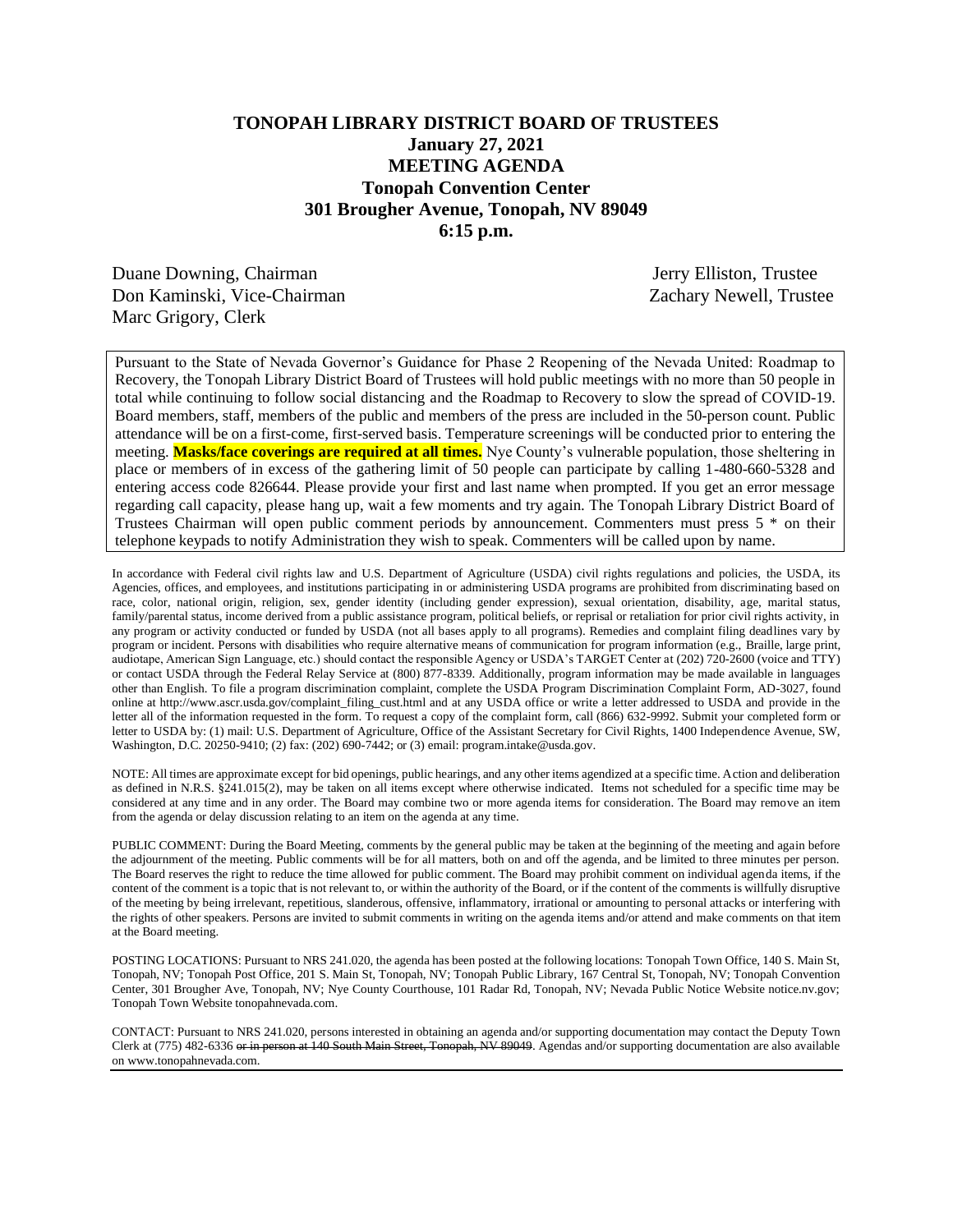## **TONOPAH LIBRARY DISTRICT BOARD OF TRUSTEES January 27, 2021 MEETING AGENDA Tonopah Convention Center 301 Brougher Avenue, Tonopah, NV 89049 6:15 p.m.**

Duane Downing, Chairman Jerry Elliston, Trustee Don Kaminski, Vice-Chairman Zachary Newell, Trustee Marc Grigory, Clerk

Pursuant to the State of Nevada Governor's Guidance for Phase 2 Reopening of the Nevada United: Roadmap to Recovery, the Tonopah Library District Board of Trustees will hold public meetings with no more than 50 people in total while continuing to follow social distancing and the Roadmap to Recovery to slow the spread of COVID-19. Board members, staff, members of the public and members of the press are included in the 50-person count. Public attendance will be on a first-come, first-served basis. Temperature screenings will be conducted prior to entering the meeting. **Masks/face coverings are required at all times.** Nye County's vulnerable population, those sheltering in place or members of in excess of the gathering limit of 50 people can participate by calling 1-480-660-5328 and entering access code 826644. Please provide your first and last name when prompted. If you get an error message regarding call capacity, please hang up, wait a few moments and try again. The Tonopah Library District Board of Trustees Chairman will open public comment periods by announcement. Commenters must press 5 \* on their telephone keypads to notify Administration they wish to speak. Commenters will be called upon by name.

In accordance with Federal civil rights law and U.S. Department of Agriculture (USDA) civil rights regulations and policies, the USDA, its Agencies, offices, and employees, and institutions participating in or administering USDA programs are prohibited from discriminating based on race, color, national origin, religion, sex, gender identity (including gender expression), sexual orientation, disability, age, marital status, family/parental status, income derived from a public assistance program, political beliefs, or reprisal or retaliation for prior civil rights activity, in any program or activity conducted or funded by USDA (not all bases apply to all programs). Remedies and complaint filing deadlines vary by program or incident. Persons with disabilities who require alternative means of communication for program information (e.g., Braille, large print, audiotape, American Sign Language, etc.) should contact the responsible Agency or USDA's TARGET Center at (202) 720-2600 (voice and TTY) or contact USDA through the Federal Relay Service at (800) 877-8339. Additionally, program information may be made available in languages other than English. To file a program discrimination complaint, complete the USDA Program Discrimination Complaint Form, AD-3027, found online at http://www.ascr.usda.gov/complaint\_filing\_cust.html and at any USDA office or write a letter addressed to USDA and provide in the letter all of the information requested in the form. To request a copy of the complaint form, call (866) 632-9992. Submit your completed form or letter to USDA by: (1) mail: U.S. Department of Agriculture, Office of the Assistant Secretary for Civil Rights, 1400 Independence Avenue, SW, Washington, D.C. 20250-9410; (2) fax: (202) 690-7442; or (3) email: program.intake@usda.gov.

NOTE: All times are approximate except for bid openings, public hearings, and any other items agendized at a specific time. Action and deliberation as defined in N.R.S. §241.015(2), may be taken on all items except where otherwise indicated. Items not scheduled for a specific time may be considered at any time and in any order. The Board may combine two or more agenda items for consideration. The Board may remove an item from the agenda or delay discussion relating to an item on the agenda at any time.

PUBLIC COMMENT: During the Board Meeting, comments by the general public may be taken at the beginning of the meeting and again before the adjournment of the meeting. Public comments will be for all matters, both on and off the agenda, and be limited to three minutes per person. The Board reserves the right to reduce the time allowed for public comment. The Board may prohibit comment on individual agenda items, if the content of the comment is a topic that is not relevant to, or within the authority of the Board, or if the content of the comments is willfully disruptive of the meeting by being irrelevant, repetitious, slanderous, offensive, inflammatory, irrational or amounting to personal attacks or interfering with the rights of other speakers. Persons are invited to submit comments in writing on the agenda items and/or attend and make comments on that item at the Board meeting.

POSTING LOCATIONS: Pursuant to NRS 241.020, the agenda has been posted at the following locations: Tonopah Town Office, 140 S. Main St, Tonopah, NV; Tonopah Post Office, 201 S. Main St, Tonopah, NV; Tonopah Public Library, 167 Central St, Tonopah, NV; Tonopah Convention Center, 301 Brougher Ave, Tonopah, NV; Nye County Courthouse, 101 Radar Rd, Tonopah, NV; Nevada Public Notice Website notice.nv.gov; Tonopah Town Website tonopahnevada.com.

CONTACT: Pursuant to NRS 241.020, persons interested in obtaining an agenda and/or supporting documentation may contact the Deputy Town Clerk at (775) 482-6336 or in person at 140 South Main Street, Tonopah, NV 89049. Agendas and/or supporting documentation are also available on www.tonopahnevada.com.